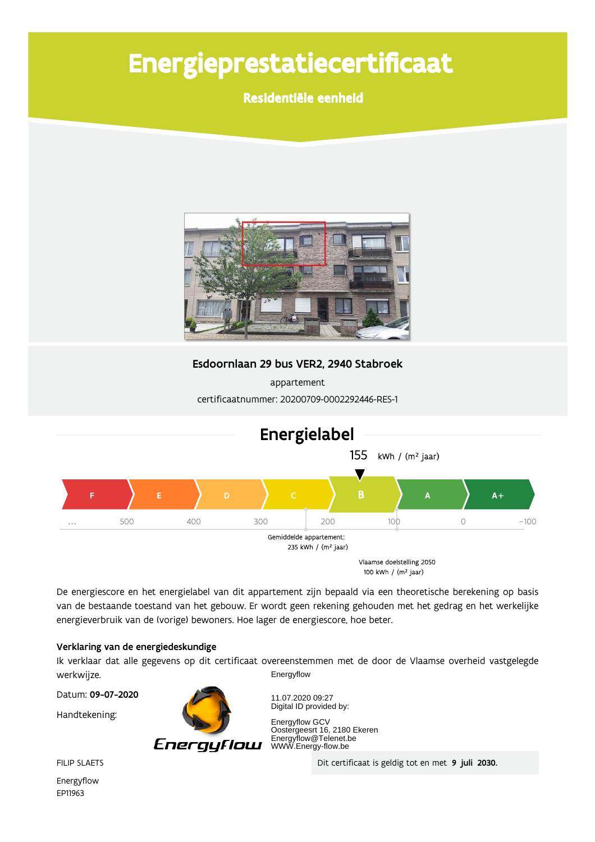# Energieprestatiecertificaat

Residentiële eenheid



Esdoornlaan 29 bus VER2, 2940 Stabroek

appartement certificaatnummer: 20200709-0002292446-RES-1



De energiescore en het energielabel van dit appartement zijn bepaald via een theoretische berekening op basis van de bestaande toestand van het gebouw. Er wordt geen rekening gehouden met het gedrag en het werkelijke energieverbruik van de (vorige) bewoners. Hoe lager de energiescore, hoe beter.

#### Verklaring van de energiedeskundige

Ik verklaar dat alle gegevens op dit certificaat overeenstemmen met de door de Vlaamse overheid vastgelegde werkwijze. Energyflow

Datum: 09-07-2020

Handtekening:



11.07.2020 09:27 Digital ID provided by:

Energyflow GCV Energynow GCV<br>Oostergeesrt 16, 2180 Ekeren<br>Energyflow@Telenet.be<br>WWW.Energy-flow.be

Dit certificaat is geldig tot en met 9 juli 2030.

**FILIP SLAETS** 

Energyflow EP11963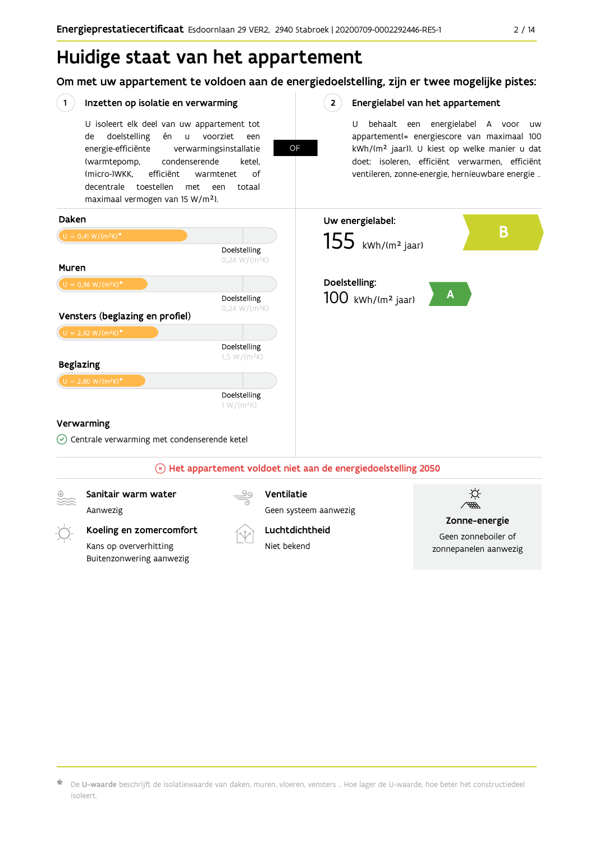Om met uw appartement te voldoen aan de energiedoelstelling, zijn er twee mogelijke pistes:

#### $(1)$ Inzetten op isolatie en verwarming  $2^{\circ}$ Energielabel van het appartement U isoleert elk deel van uw appartement tot U behaalt een energielabel A voor  $\overline{U}$ doelstelling voorziet appartement(= energiescore van maximaal 100 de én  $\mathsf{u}$ een OF kWh/(m<sup>2</sup> jaar)). U kiest op welke manier u dat energie-efficiënte verwarmingsinstallatie doet: isoleren, efficiënt verwarmen, efficiënt (warmtepomp, condenserende ketel, (micro-)WKK. efficiënt ventileren, zonne-energie, hernieuwbare energie ... warmtenet  $\bigcap_{ }$ decentrale toestellen met een totaal maximaal vermogen van 15 W/m<sup>2</sup>). Daken Uw energielabel: B  $155$  kWh/(m<sup>2</sup> jaar) Doelstelling  $0,24 W/(m^2K)$ Muren Doelstelling:  $\mathbf{A}$ Doelstelling  $100$  kWh/(m<sup>2</sup> jaar)  $0,24 W/(m^2K)$ Vensters (beglazing en profiel) Doelstelling  $1,5 W/(m^2K)$ **Beglazing** Doelstelling  $1 W/(m^2K)$ Verwarming  $\circledcirc$  Centrale verwarming met condenserende ketel  $\mathbb{R}$  Het appartement voldoet niet aan de energiedoelstelling 2050 )<br>第 Sanitair warm water Ventilatie Aanwezig Geen systeem aanwezig Zonne-energie Koeling en zomercomfort Luchtdichtheid Geen zonneboiler of

De U-waarde beschrijft de isolatiewaarde van daken, muren, vloeren, vensters ... Hoe lager de U-waarde, hoe beter het constructiedeel isoleert

Niet hekend

Kans op oververhitting

Buitenzonwering aanwezig

zonnepanelen aanwezig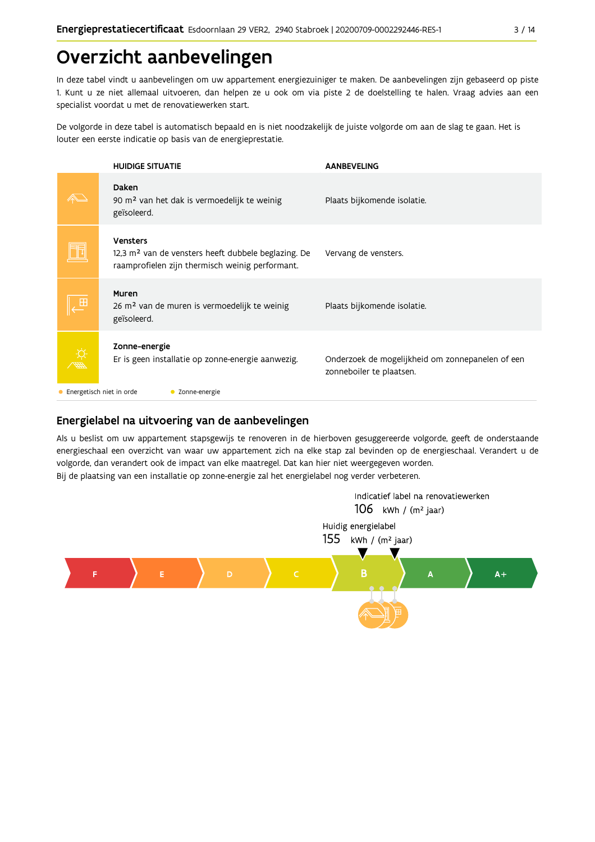## Overzicht aanbevelingen

In deze tabel vindt u aanbevelingen om uw appartement energiezuiniger te maken. De aanbevelingen zijn gebaseerd op piste 1. Kunt u ze niet allemaal uitvoeren, dan helpen ze u ook om via piste 2 de doelstelling te halen. Vraag advies aan een specialist voordat u met de renovatiewerken start.

De volgorde in deze tabel is automatisch bepaald en is niet noodzakelijk de juiste volgorde om aan de slag te gaan. Het is louter een eerste indicatie op basis van de energieprestatie.

|             | <b>HUIDIGE SITUATIE</b>                                                                                                        | <b>AANBEVELING</b>                                                           |  |  |  |  |
|-------------|--------------------------------------------------------------------------------------------------------------------------------|------------------------------------------------------------------------------|--|--|--|--|
|             | Daken<br>90 m <sup>2</sup> van het dak is vermoedelijk te weinig<br>geïsoleerd.                                                | Plaats bijkomende isolatie.                                                  |  |  |  |  |
|             | Vensters<br>12,3 m <sup>2</sup> van de vensters heeft dubbele beglazing. De<br>raamprofielen zijn thermisch weinig performant. | Vervang de vensters.                                                         |  |  |  |  |
|             | Muren<br>26 m <sup>2</sup> van de muren is vermoedelijk te weinig<br>geïsoleerd.                                               | Plaats bijkomende isolatie.                                                  |  |  |  |  |
| <b>Atti</b> | Zonne-energie<br>Er is geen installatie op zonne-energie aanwezig.                                                             | Onderzoek de mogelijkheid om zonnepanelen of een<br>zonneboiler te plaatsen. |  |  |  |  |
|             | Energetisch niet in orde<br>Zonne-energie                                                                                      |                                                                              |  |  |  |  |

#### Energielabel na uitvoering van de aanbevelingen

Als u beslist om uw appartement stapsgewijs te renoveren in de hierboven gesuggereerde volgorde, geeft de onderstaande energieschaal een overzicht van waar uw appartement zich na elke stap zal bevinden op de energieschaal. Verandert u de volgorde, dan verandert ook de impact van elke maatregel. Dat kan hier niet weergegeven worden. Bij de plaatsing van een installatie op zonne-energie zal het energielabel nog verder verbeteren.

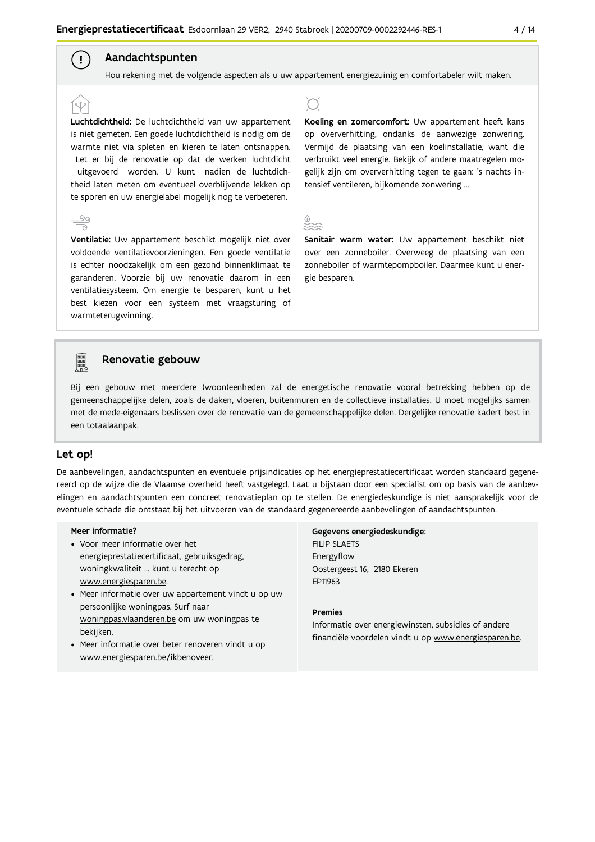#### Aandachtspunten

 $\left( \begin{array}{c} 1 \end{array} \right)$ 

Hou rekening met de volgende aspecten als u uw appartement energiezuinig en comfortabeler wilt maken.

Luchtdichtheid: De luchtdichtheid van uw appartement is niet gemeten. Een goede luchtdichtheid is nodig om de warmte niet via spleten en kieren te laten ontsnappen. Let er bij de renovatie op dat de werken luchtdicht uitgevoerd worden. U kunt nadien de luchtdichtheid laten meten om eventueel overblijvende lekken op te sporen en uw energielabel mogelijk nog te verbeteren.

Ventilatie: Uw appartement beschikt mogelijk niet over voldoende ventilatievoorzieningen. Een goede ventilatie is echter noodzakelijk om een gezond binnenklimaat te garanderen. Voorzie bij uw renovatie daarom in een ventilatiesysteem. Om energie te besparen, kunt u het best kiezen voor een systeem met vraagsturing of warmteterugwinning.



Koeling en zomercomfort: Uw appartement heeft kans op oververhitting, ondanks de aanwezige zonwering. Vermijd de plaatsing van een koelinstallatie, want die verbruikt veel energie. Bekijk of andere maatregelen mogelijk zijn om oververhitting tegen te gaan: 's nachts intensief ventileren, bijkomende zonwering ...



Sanitair warm water: Uw appartement beschikt niet over een zonneboiler. Overweeg de plaatsing van een zonneboiler of warmtepompboiler. Daarmee kunt u energie besparen.



#### Renovatie gebouw

Bij een gebouw met meerdere (woon)eenheden zal de energetische renovatie vooral betrekking hebben op de gemeenschappelijke delen, zoals de daken, vloeren, buitenmuren en de collectieve installaties. U moet mogelijks samen met de mede-eigenaars beslissen over de renovatie van de gemeenschappelijke delen. Dergelijke renovatie kadert best in een totaalaanpak.

#### Let op!

De aanbevelingen, aandachtspunten en eventuele prijsindicaties op het energieprestatiecertificaat worden standaard gegenereerd op de wijze die de Vlaamse overheid heeft vastgelegd. Laat u bijstaan door een specialist om op basis van de aanbevelingen en aandachtspunten een concreet renovatieplan op te stellen. De energiedeskundige is niet aansprakelijk voor de eventuele schade die ontstaat bij het uitvoeren van de standaard gegenereerde aanbevelingen of aandachtspunten.

#### Meer informatie?

- Voor meer informatie over het energieprestatiecertificaat, gebruiksgedrag, woningkwaliteit ... kunt u terecht op www.energiesparen.be.
- Meer informatie over uw appartement vindt u op uw persoonlijke woningpas. Surf naar woningpas.vlaanderen.be om uw woningpas te bekijken.
- Meer informatie over beter renoveren vindt u op www.energiesparen.be/ikbenoveer.

Gegevens energiedeskundige: **FILIP SLAETS** Energyflow Oostergeest 16, 2180 Ekeren EP11963

#### **Premies**

Informatie over energiewinsten, subsidies of andere financiële voordelen vindt u op www.energiesparen.be.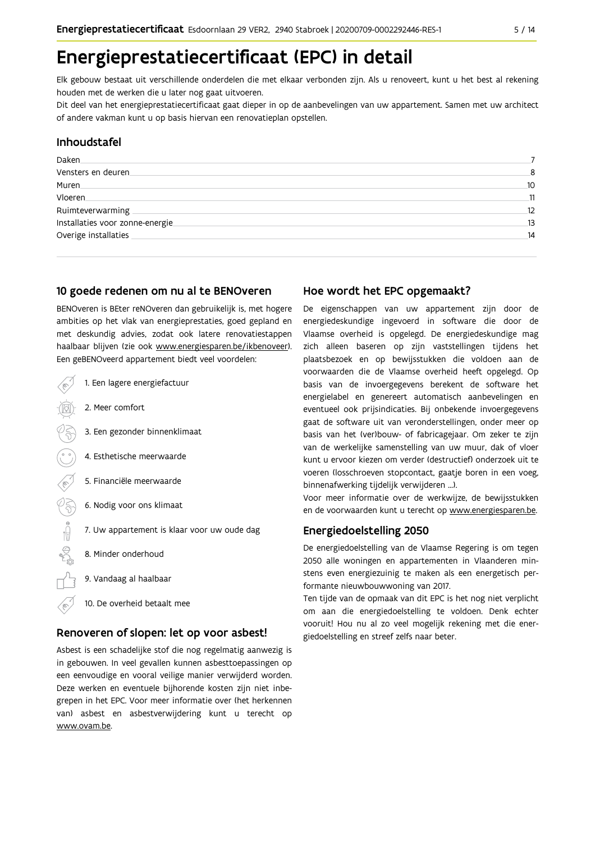### Energieprestatiecertificaat (EPC) in detail

Elk gebouw bestaat uit verschillende onderdelen die met elkaar verbonden zijn. Als u renoveert, kunt u het best al rekening houden met de werken die u later nog gaat uitvoeren.

Dit deel van het energieprestatiecertificaat gaat dieper in op de aanbevelingen van uw appartement. Samen met uw architect of andere vakman kunt u op basis hiervan een renovatieplan opstellen.

#### Inhoudstafel

| Daken.                           |    |
|----------------------------------|----|
| Vensters en deuren               | 8  |
| Muren.                           | 10 |
| Vloeren                          | 11 |
| Ruimteverwarming                 | 12 |
| Installaties voor zonne-energie. | 13 |
| Overige installaties             | 14 |
|                                  |    |

#### 10 goede redenen om nu al te BENOveren

BENOveren is BEter reNOveren dan gebruikelijk is, met hogere ambities op het vlak van energieprestaties, goed gepland en met deskundig advies, zodat ook latere renovatiestappen haalbaar blijven (zie ook www.energiesparen.be/ikbenoveer). Een geBENOveerd appartement biedt veel voordelen:

| 1. Een lagere energiefactuur                |
|---------------------------------------------|
| 2. Meer comfort                             |
| 3. Een gezonder binnenklimaat               |
| 4. Esthetische meerwaarde                   |
| 5. Financiële meerwaarde                    |
| 6. Nodig voor ons klimaat                   |
| 7. Uw appartement is klaar voor uw oude dag |
| 8. Minder onderhoud                         |
| 9. Vandaag al haalbaar                      |
| 10. De overheid betaalt mee                 |

#### Renoveren of slopen: let op voor asbest!

Asbest is een schadelijke stof die nog regelmatig aanwezig is in gebouwen. In veel gevallen kunnen asbesttoepassingen op een eenvoudige en vooral veilige manier verwijderd worden. Deze werken en eventuele bijhorende kosten zijn niet inbegrepen in het EPC. Voor meer informatie over (het herkennen van) asbest en asbestverwijdering kunt u terecht op www.ovam.be.

#### Hoe wordt het EPC opgemaakt?

De eigenschappen van uw appartement zijn door de energiedeskundige ingevoerd in software die door de Vlaamse overheid is opgelegd. De energiedeskundige mag zich alleen baseren op zijn vaststellingen tijdens het plaatsbezoek en op bewijsstukken die voldoen aan de voorwaarden die de Vlaamse overheid heeft opgelegd. Op basis van de invoergegevens berekent de software het energielabel en genereert automatisch aanbevelingen en eventueel ook prijsindicaties. Bij onbekende invoergegevens gaat de software uit van veronderstellingen, onder meer op basis van het (ver)bouw- of fabricagejaar. Om zeker te zijn van de werkelijke samenstelling van uw muur, dak of vloer kunt u ervoor kiezen om verder (destructief) onderzoek uit te voeren (losschroeven stopcontact, gaatje boren in een voeg, binnenafwerking tijdelijk verwijderen ...).

Voor meer informatie over de werkwijze, de bewijsstukken en de voorwaarden kunt u terecht op www.energiesparen.be.

#### Energiedoelstelling 2050

De energiedoelstelling van de Vlaamse Regering is om tegen 2050 alle woningen en appartementen in Vlaanderen minstens even energiezuinig te maken als een energetisch performante nieuwbouwwoning van 2017.

Ten tijde van de opmaak van dit EPC is het nog niet verplicht om aan die energiedoelstelling te voldoen. Denk echter vooruit! Hou nu al zo veel mogelijk rekening met die energiedoelstelling en streef zelfs naar beter.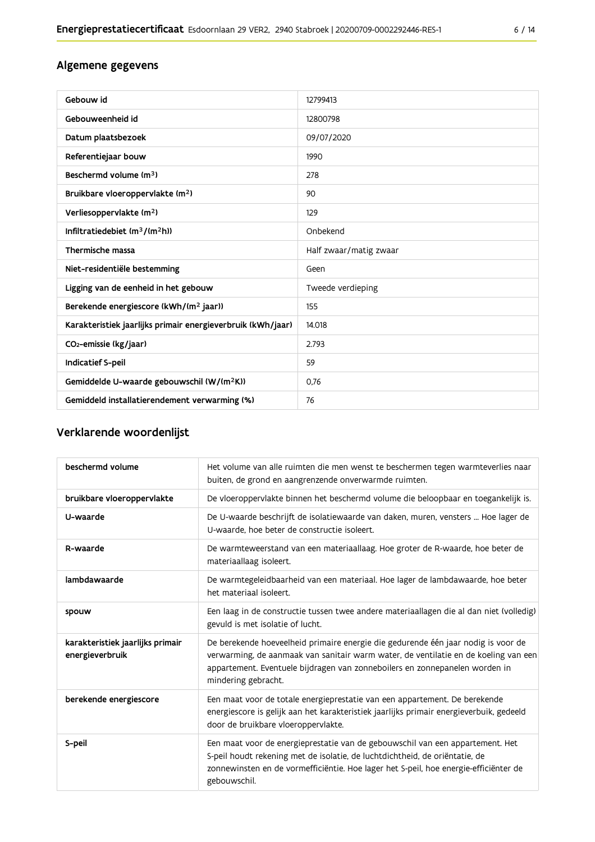### Algemene gegevens

| Gebouw id                                                   | 12799413               |
|-------------------------------------------------------------|------------------------|
| Gebouweenheid id                                            | 12800798               |
| Datum plaatsbezoek                                          | 09/07/2020             |
| Referentiejaar bouw                                         | 1990                   |
| Beschermd volume (m <sup>3</sup> )                          | 278                    |
| Bruikbare vloeroppervlakte (m <sup>2</sup> )                | 90                     |
| Verliesoppervlakte (m <sup>2</sup> )                        | 129                    |
| Infiltratiedebiet $(m^3/(m^2h))$                            | Onbekend               |
| Thermische massa                                            | Half zwaar/matig zwaar |
| Niet-residentiële bestemming                                | Geen                   |
| Ligging van de eenheid in het gebouw                        | Tweede verdieping      |
| Berekende energiescore (kWh/(m <sup>2</sup> jaar))          | 155                    |
| Karakteristiek jaarlijks primair energieverbruik (kWh/jaar) | 14.018                 |
| CO <sub>2</sub> -emissie (kg/jaar)                          | 2.793                  |
| <b>Indicatief S-peil</b>                                    | 59                     |
| Gemiddelde U-waarde gebouwschil (W/(m <sup>2</sup> K))      | 0,76                   |
| Gemiddeld installatierendement verwarming (%)               | 76                     |

### Verklarende woordenlijst

| beschermd volume                                    | Het volume van alle ruimten die men wenst te beschermen tegen warmteverlies naar<br>buiten, de grond en aangrenzende onverwarmde ruimten.                                                                                                                                      |
|-----------------------------------------------------|--------------------------------------------------------------------------------------------------------------------------------------------------------------------------------------------------------------------------------------------------------------------------------|
| bruikbare vloeroppervlakte                          | De vloeroppervlakte binnen het beschermd volume die beloopbaar en toegankelijk is.                                                                                                                                                                                             |
| U-waarde                                            | De U-waarde beschrijft de isolatiewaarde van daken, muren, vensters  Hoe lager de<br>U-waarde, hoe beter de constructie isoleert.                                                                                                                                              |
| R-waarde                                            | De warmteweerstand van een materiaallaag. Hoe groter de R-waarde, hoe beter de<br>materiaallaag isoleert.                                                                                                                                                                      |
| lambdawaarde                                        | De warmtegeleidbaarheid van een materiaal. Hoe lager de lambdawaarde, hoe beter<br>het materiaal isoleert.                                                                                                                                                                     |
| spouw                                               | Een laag in de constructie tussen twee andere materiaallagen die al dan niet (volledig)<br>gevuld is met isolatie of lucht.                                                                                                                                                    |
| karakteristiek jaarlijks primair<br>energieverbruik | De berekende hoeveelheid primaire energie die gedurende één jaar nodig is voor de<br>verwarming, de aanmaak van sanitair warm water, de ventilatie en de koeling van een<br>appartement. Eventuele bijdragen van zonneboilers en zonnepanelen worden in<br>mindering gebracht. |
| berekende energiescore                              | Een maat voor de totale energieprestatie van een appartement. De berekende<br>energiescore is gelijk aan het karakteristiek jaarlijks primair energieverbuik, gedeeld<br>door de bruikbare vloeroppervlakte.                                                                   |
| S-peil                                              | Een maat voor de energieprestatie van de gebouwschil van een appartement. Het<br>S-peil houdt rekening met de isolatie, de luchtdichtheid, de oriëntatie, de<br>zonnewinsten en de vormefficiëntie. Hoe lager het S-peil, hoe energie-efficiënter de<br>gebouwschil.           |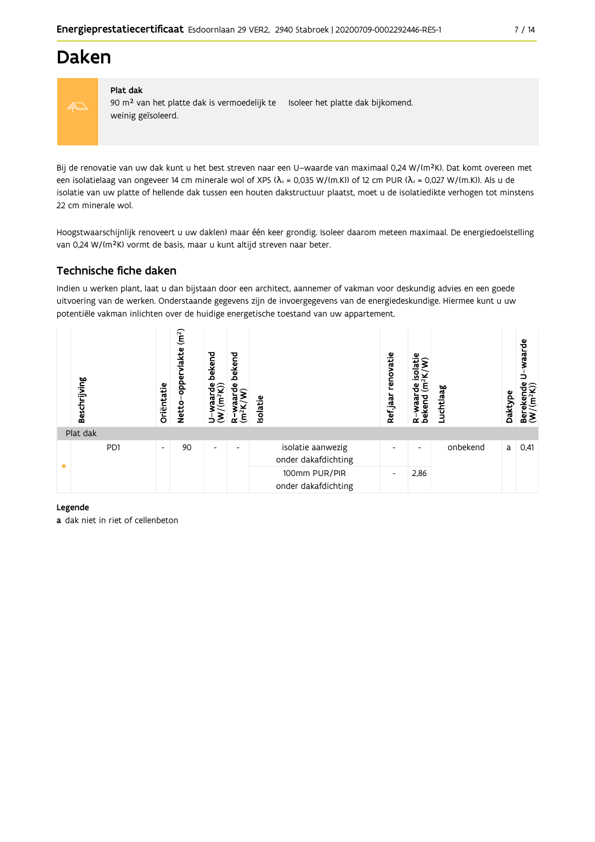### **Daken**



#### Plat dak

90 m<sup>2</sup> van het platte dak is vermoedelijk te Isoleer het platte dak bijkomend. weinig geïsoleerd.

Bij de renovatie van uw dak kunt u het best streven naar een U-waarde van maximaal 0,24 W/(m<sup>2</sup>K). Dat komt overeen met een isolatielaag van ongeveer 14 cm minerale wol of XPS ( $\lambda_d$  = 0,035 W/(m.K)) of 12 cm PUR ( $\lambda_d$  = 0,027 W/(m.K)). Als u de isolatie van uw platte of hellende dak tussen een houten dakstructuur plaatst, moet u de isolatiedikte verhogen tot minstens 22 cm minerale wol.

Hoogstwaarschijnlijk renoveert u uw dak(en) maar één keer grondig. Isoleer daarom meteen maximaal. De energiedoelstelling van 0,24 W/(m<sup>2</sup>K) vormt de basis, maar u kunt altijd streven naar beter.

#### Technische fiche daken

Indien u werken plant, laat u dan bijstaan door een architect, aannemer of vakman voor deskundig advies en een goede uitvoering van de werken. Onderstaande gegevens zijn de invoergegevens van de energiedeskundige. Hiermee kunt u uw potentiële vakman inlichten over de huidige energetische toestand van uw appartement.

| Beschrijving | Oriëntatie               | (m <sup>2</sup> )<br><b>lakte</b><br>opper<br><b>Netto</b> | bekend<br>waarde l<br>//(m <sup>2</sup> K))<br>$\dot{\epsilon}$<br>È | bekend<br>ື້'≅ີ<br>$(m^2K)$<br>≃ | Isolatie                                 | renovatie<br>Refjaar     | isolatie<br>ş<br>(m <sup>2</sup> K)<br>운<br>waar<br>bekend<br>$\alpha$ | Luchtlaag | Daktype | waarde<br>Berekende<br>(W/(m <sup>2</sup> K)) |
|--------------|--------------------------|------------------------------------------------------------|----------------------------------------------------------------------|----------------------------------|------------------------------------------|--------------------------|------------------------------------------------------------------------|-----------|---------|-----------------------------------------------|
| Plat dak     |                          |                                                            |                                                                      |                                  |                                          |                          |                                                                        |           |         |                                               |
| PD1          | $\overline{\phantom{a}}$ | 90                                                         | $\overline{\phantom{a}}$                                             | $\overline{\phantom{0}}$         | isolatie aanwezig<br>onder dakafdichting | ۰                        | $\overline{\phantom{a}}$                                               | onbekend  | a       | 0,41                                          |
|              |                          |                                                            |                                                                      |                                  | 100mm PUR/PIR<br>onder dakafdichting     | $\overline{\phantom{a}}$ | 2,86                                                                   |           |         |                                               |

#### Legende

a dak niet in riet of cellenbeton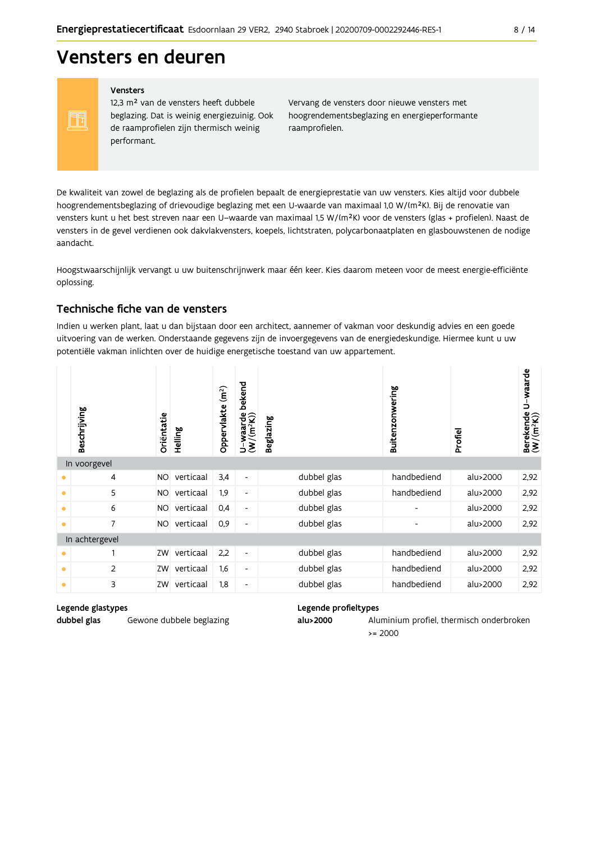### Vensters en deuren

#### Vensters

FF

12,3 m<sup>2</sup> van de vensters heeft dubbele beglazing. Dat is weinig energiezuinig. Ook de raamprofielen zijn thermisch weinig performant.

Vervang de vensters door nieuwe vensters met hoogrendementsbeglazing en energieperformante raamprofielen.

De kwaliteit van zowel de beglazing als de profielen bepaalt de energieprestatie van uw vensters. Kies altijd voor dubbele hoogrendementsbeglazing of drievoudige beglazing met een U-waarde van maximaal 1,0 W/(m<sup>2</sup>K). Bij de renovatie van vensters kunt u het best streven naar een U-waarde van maximaal 1,5 W/(m<sup>2</sup>K) voor de vensters (glas + profielen). Naast de vensters in de gevel verdienen ook dakvlakvensters, koepels, lichtstraten, polycarbonaatplaten en glasbouwstenen de nodige aandacht.

Hoogstwaarschijnlijk vervangt u uw buitenschrijnwerk maar één keer. Kies daarom meteen voor de meest energie-efficiënte oplossing.

#### Technische fiche van de vensters

Indien u werken plant, laat u dan bijstaan door een architect, aannemer of vakman voor deskundig advies en een goede uitvoering van de werken. Onderstaande gegevens zijn de invoergegevens van de energiedeskundige. Hiermee kunt u uw potentiële vakman inlichten over de huidige energetische toestand van uw appartement.

|           | Beschrijving   | Orientatie | Helling   | (m <sup>2</sup> )<br>Oppervlakte | bekend<br>$U$ -waarde<br>(W/(m <sup>2</sup> K)) | <b>Beglazing</b> | Buitenzonwering              | Profiel  | Berekende U-waarde<br>(W/(m <sup>2</sup> K)) |
|-----------|----------------|------------|-----------|----------------------------------|-------------------------------------------------|------------------|------------------------------|----------|----------------------------------------------|
|           | In voorgevel   |            |           |                                  |                                                 |                  |                              |          |                                              |
| ٠         | 4              | <b>NO</b>  | verticaal | 3,4                              | $\blacksquare$                                  | dubbel glas      | handbediend                  | alu>2000 | 2,92                                         |
| $\bullet$ | 5              | NO.        | verticaal | 1,9                              | $\overline{\phantom{a}}$                        | dubbel glas      | handbediend                  | alu>2000 | 2,92                                         |
| $\bullet$ | 6              | NO.        | verticaal | 0,4                              | $\overline{\phantom{a}}$                        | dubbel glas      | $\overline{\phantom{a}}$     | alu>2000 | 2,92                                         |
| $\bullet$ | $\overline{7}$ | <b>NO</b>  | verticaal | 0,9                              | $\overline{\phantom{a}}$                        | dubbel glas      | $\qquad \qquad \blacksquare$ | alu>2000 | 2,92                                         |
|           | In achtergevel |            |           |                                  |                                                 |                  |                              |          |                                              |
| $\bullet$ |                | ZW         | verticaal | 2,2                              | $\blacksquare$                                  | dubbel glas      | handbediend                  | alu>2000 | 2,92                                         |
| $\bullet$ | 2              | ZW         | verticaal | 1,6                              | $\overline{\phantom{a}}$                        | dubbel glas      | handbediend                  | alu>2000 | 2,92                                         |
| $\bullet$ | 3              | ZW         | verticaal | 1,8                              | $\overline{\phantom{a}}$                        | dubbel glas      | handbediend                  | alu>2000 | 2,92                                         |

#### Legende glastypes

dubbel glas

Gewone dubbele beglazing

#### Legende profieltypes

alu>2000 Aluminium profiel, thermisch onderbroken  $= 2000$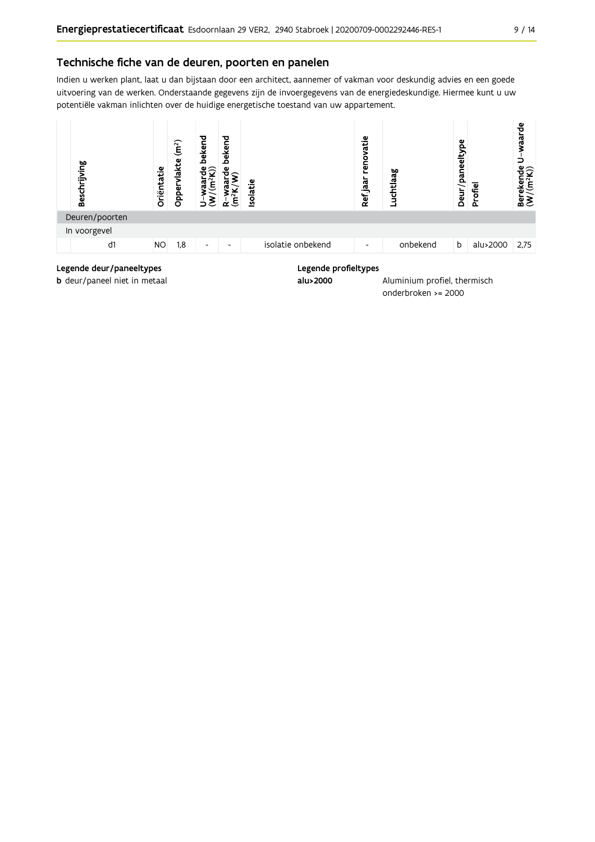Indien u werken plant, laat u dan bijstaan door een architect, aannemer of vakman voor deskundig advies en een goede uitvoering van de werken. Onderstaande gegevens zijn de invoergegevens van de energiedeskundige. Hiermee kunt u uw potentiële vakman inlichten over de huidige energetische toestand van uw appartement.



onderbroken >= 2000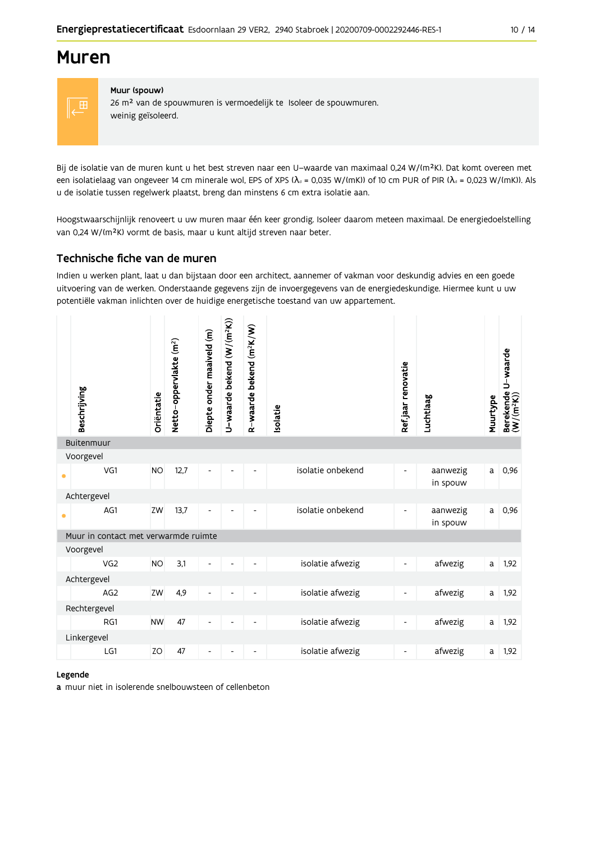### **Muren**



#### Muur (spouw)

26 m<sup>2</sup> van de spouwmuren is vermoedelijk te Isoleer de spouwmuren. weinig geïsoleerd.

Bij de isolatie van de muren kunt u het best streven naar een U-waarde van maximaal 0,24 W/(m<sup>2</sup>K). Dat komt overeen met een isolatielaag van ongeveer 14 cm minerale wol, EPS of XPS ( $\lambda$ <sub>d</sub> = 0,035 W/(mK)) of 10 cm PUR of PIR ( $\lambda$ <sub>d</sub> = 0,023 W/(mK)). Als u de isolatie tussen regelwerk plaatst, breng dan minstens 6 cm extra isolatie aan.

Hoogstwaarschijnlijk renoveert u uw muren maar één keer grondig. Isoleer daarom meteen maximaal. De energiedoelstelling van 0,24 W/(m<sup>2</sup>K) vormt de basis, maar u kunt altijd streven naar beter.

#### Technische fiche van de muren

Indien u werken plant, laat u dan bijstaan door een architect, aannemer of vakman voor deskundig advies en een goede uitvoering van de werken. Onderstaande gegevens zijn de invoergegevens van de energiedeskundige. Hiermee kunt u uw potentiële vakman inlichten over de huidige energetische toestand van uw appartement.

|           | Beschrijving                         | Oriëntatie | Netto-oppervlakte (m <sup>2</sup> ) | Diepte onder maaiveld (m) | U-waarde bekend (W/(m <sup>2</sup> K)) | R-waarde bekend (m <sup>2</sup> K/W) | Isolatie          | Ref.jaar renovatie       | Luchtlaag            | Muurtype | U waarde<br>Berekende l<br>(W/(m <sup>2</sup> K)) |
|-----------|--------------------------------------|------------|-------------------------------------|---------------------------|----------------------------------------|--------------------------------------|-------------------|--------------------------|----------------------|----------|---------------------------------------------------|
|           | Buitenmuur                           |            |                                     |                           |                                        |                                      |                   |                          |                      |          |                                                   |
| $\bullet$ | Voorgevel<br>VG1                     | <b>NO</b>  | 12,7                                | $\overline{\phantom{a}}$  |                                        |                                      | isolatie onbekend | $\overline{\phantom{a}}$ | aanwezig<br>in spouw | a        | 0,96                                              |
|           | Achtergevel                          |            |                                     |                           |                                        |                                      |                   |                          |                      |          |                                                   |
| $\bullet$ | AG1                                  | ZW         | 13,7                                |                           |                                        |                                      | isolatie onbekend | -                        | aanwezig<br>in spouw | a        | 0,96                                              |
|           | Muur in contact met verwarmde ruimte |            |                                     |                           |                                        |                                      |                   |                          |                      |          |                                                   |
|           | Voorgevel                            |            |                                     |                           |                                        |                                      |                   |                          |                      |          |                                                   |
|           | VG <sub>2</sub>                      | <b>NO</b>  | 3,1                                 |                           |                                        |                                      | isolatie afwezig  | $\overline{\phantom{a}}$ | afwezig              | a        | 1,92                                              |
|           | Achtergevel                          |            |                                     |                           |                                        |                                      |                   |                          |                      |          |                                                   |
|           | AG <sub>2</sub>                      | ZW         | 4,9                                 | $\overline{a}$            |                                        |                                      | isolatie afwezig  | $\overline{\phantom{a}}$ | afwezig              | a        | 1,92                                              |
|           | Rechtergevel                         |            |                                     |                           |                                        |                                      |                   |                          |                      |          |                                                   |
|           | RG1                                  | <b>NW</b>  | 47                                  | $\overline{\phantom{a}}$  |                                        | $\overline{\phantom{a}}$             | isolatie afwezig  | $\overline{\phantom{a}}$ | afwezig              | a        | 1,92                                              |
|           | Linkergevel                          |            |                                     |                           |                                        |                                      |                   |                          |                      |          |                                                   |
|           | LG1                                  | ZO         | 47                                  | $\overline{a}$            |                                        |                                      | isolatie afwezig  | $\overline{\phantom{a}}$ | afwezig              | a        | 1,92                                              |

#### Legende

a muur niet in isolerende snelbouwsteen of cellenbeton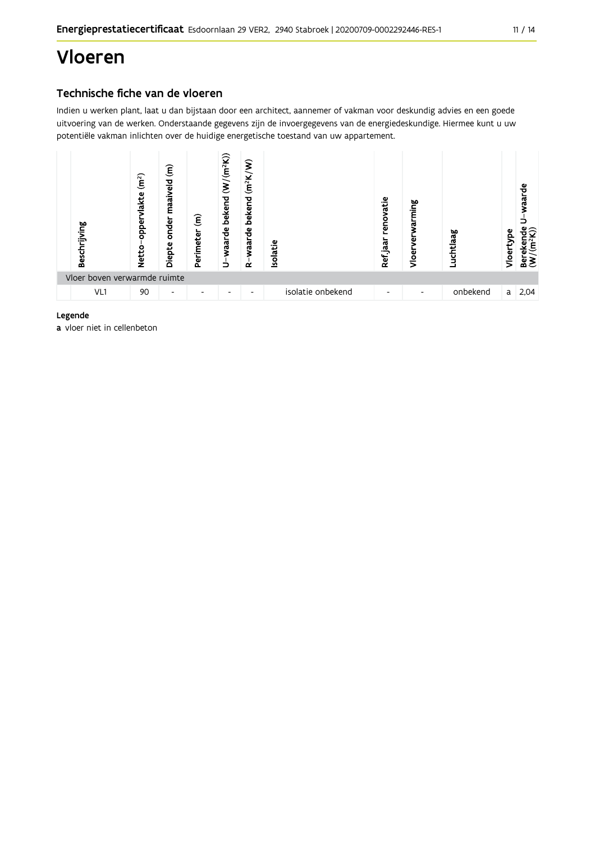# Vloeren

#### Technische fiche van de vloeren

Indien u werken plant, laat u dan bijstaan door een architect, aannemer of vakman voor deskundig advies en een goede uitvoering van de werken. Onderstaande gegevens zijn de invoergegevens van de energiedeskundige. Hiermee kunt u uw potentiële vakman inlichten over de huidige energetische toestand van uw appartement.



#### Legende

a vloer niet in cellenbeton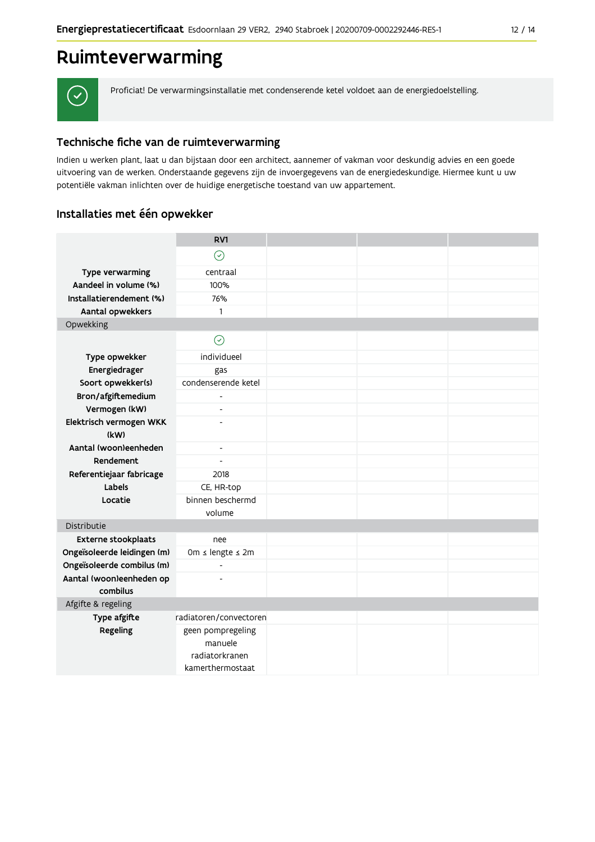### Ruimteverwarming



Proficiat! De verwarmingsinstallatie met condenserende ketel voldoet aan de energiedoelstelling.

#### Technische fiche van de ruimteverwarming

Indien u werken plant, laat u dan bijstaan door een architect, aannemer of vakman voor deskundig advies en een goede uitvoering van de werken. Onderstaande gegevens zijn de invoergegevens van de energiedeskundige. Hiermee kunt u uw potentiële vakman inlichten over de huidige energetische toestand van uw appartement.

#### Installaties met één opwekker

|                             | RV1                          |  |  |
|-----------------------------|------------------------------|--|--|
|                             | $\odot$                      |  |  |
| Type verwarming             | centraal                     |  |  |
| Aandeel in volume (%)       | 100%                         |  |  |
| Installatierendement (%)    | 76%                          |  |  |
| Aantal opwekkers            | $\mathbf{1}$                 |  |  |
| Opwekking                   |                              |  |  |
|                             | $\odot$                      |  |  |
| Type opwekker               | individueel                  |  |  |
| Energiedrager               | gas                          |  |  |
| Soort opwekker(s)           | condenserende ketel          |  |  |
| Bron/afgiftemedium          | $\overline{a}$               |  |  |
| Vermogen (kW)               | $\overline{a}$               |  |  |
| Elektrisch vermogen WKK     | ÷,                           |  |  |
| (kW)                        |                              |  |  |
| Aantal (woon)eenheden       | $\overline{\phantom{a}}$     |  |  |
| Rendement                   | $\overline{a}$               |  |  |
| Referentiejaar fabricage    | 2018                         |  |  |
| Labels                      | CE, HR-top                   |  |  |
| Locatie                     | binnen beschermd             |  |  |
|                             | volume                       |  |  |
| Distributie                 |                              |  |  |
| Externe stookplaats         | nee                          |  |  |
| Ongeïsoleerde leidingen (m) | 0m ≤ lengte ≤ 2m             |  |  |
| Ongeïsoleerde combilus (m)  | $\overline{a}$               |  |  |
| Aantal (woon)eenheden op    |                              |  |  |
| combilus                    |                              |  |  |
| Afgifte & regeling          |                              |  |  |
| Type afgifte                | radiatoren/convectoren       |  |  |
| Regeling                    | geen pompregeling<br>manuele |  |  |
|                             | radiatorkranen               |  |  |
|                             | kamerthermostaat             |  |  |
|                             |                              |  |  |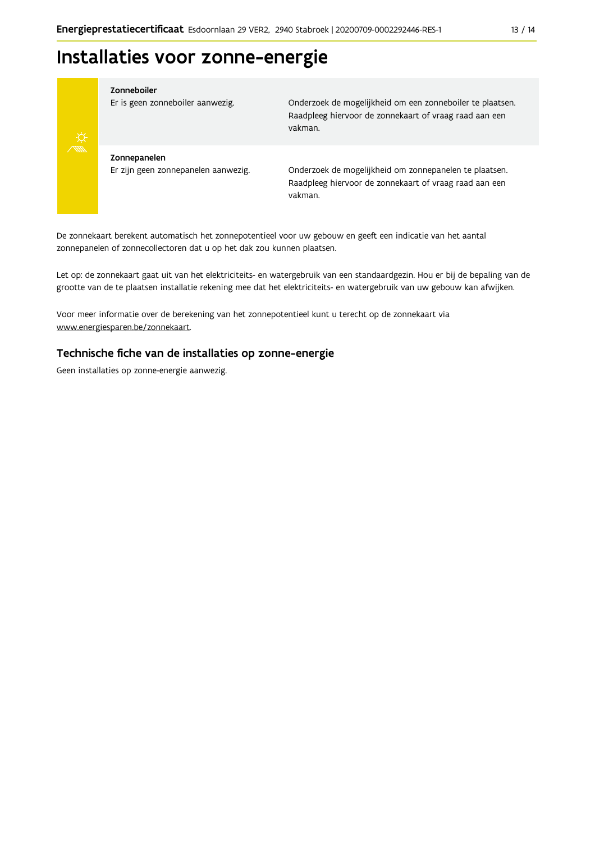### Installaties voor zonne-energie



#### Zonneboiler

Er is geen zonneboiler aanwezig.

Onderzoek de mogelijkheid om een zonneboiler te plaatsen. Raadpleeg hiervoor de zonnekaart of vraag raad aan een vakman.

Zonnepanelen Er zijn geen zonnepanelen aanwezig.

Onderzoek de mogelijkheid om zonnepanelen te plaatsen. Raadpleeg hiervoor de zonnekaart of vraag raad aan een vakman.

De zonnekaart berekent automatisch het zonnepotentieel voor uw gebouw en geeft een indicatie van het aantal zonnepanelen of zonnecollectoren dat u op het dak zou kunnen plaatsen.

Let op: de zonnekaart gaat uit van het elektriciteits- en watergebruik van een standaardgezin. Hou er bij de bepaling van de grootte van de te plaatsen installatie rekening mee dat het elektriciteits- en watergebruik van uw gebouw kan afwijken.

Voor meer informatie over de berekening van het zonnepotentieel kunt u terecht op de zonnekaart via www.energiesparen.be/zonnekaart.

#### Technische fiche van de installaties op zonne-energie

Geen installaties op zonne-energie aanwezig.